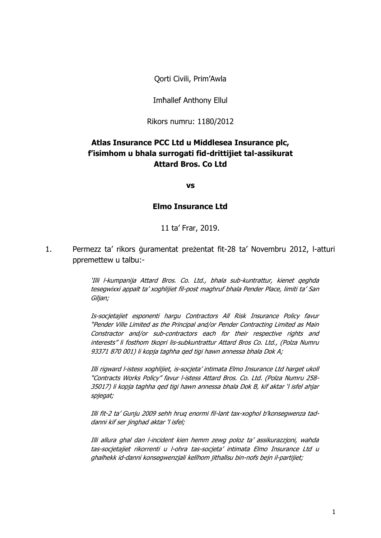Qorti Civili, Prim'Awla

#### Imħallef Anthony Ellul

Rikors numru: 1180/2012

# **Atlas Insurance PCC Ltd u Middlesea Insurance plc, f'isimhom u bhala surrogati fid-drittijiet tal-assikurat Attard Bros. Co Ltd**

**vs**

#### **Elmo Insurance Ltd**

11 ta' Frar, 2019.

1. Permezz ta' rikors ġuramentat preżentat fit-28 ta' Novembru 2012, l-atturi ppremettew u talbu:-

> 'Illi l-kumpanija Attard Bros. Co. Ltd., bhala sub-kuntrattur, kienet qeghda tesegwixxi appalt ta' xoghlijiet fil-post maghruf bhala Pender Place, limiti ta' San Giljan;

> Is-socjetajiet esponenti hargu Contractors All Risk Insurance Policy favur "Pender Ville Limited as the Principal and/or Pender Contracting Limited as Main Constractor and/or sub-contractors each for their respective rights and interests" li fosthom tkopri lis-subkuntrattur Attard Bros Co. Ltd., (Polza Numru 93371 870 001) li kopja taghha qed tigi hawn annessa bhala Dok A;

> Illi rigward l-istess xoghlijiet, is-socjeta' intimata Elmo Insurance Ltd harget ukoll "Contracts Works Policy" favur l-istess Attard Bros. Co. Ltd. (Polza Numru 258- 35017) li kopja taghha qed tigi hawn annessa bhala Dok B, kif aktar 'l isfel ahjar spjegat;

> Illi fit-2 ta' Gunju 2009 sehh hruq enormi fil-lant tax-xoghol b'konsegwenza taddanni kif ser jinghad aktar 'l isfel;

> Illi allura ghal dan l-incident kien hemm zewg poloz ta' assikurazzjoni, wahda tas-socjetajiet rikorrenti u l-ohra tas-socjeta' intimata Elmo Insurance Ltd u ghalhekk id-danni konsegwenzjali kellhom jithallsu bin-nofs bejn il-partijiet;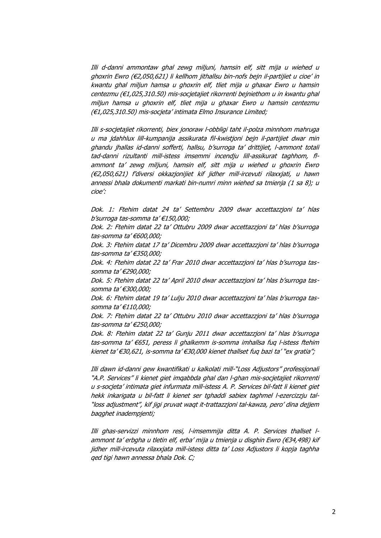Illi d-danni ammontaw ghal zewg miljuni, hamsin elf, sitt mija u wiehed u ghoxrin Ewro (€2,050,621) li kellhom jithallsu bin-nofs bejn il-partijiet u cioe' in kwantu ghal miljun hamsa u ghoxrin elf, tliet mija u ghaxar Ewro u hamsin centezmu (€1,025,310.50) mis-socjetajiet rikorrenti bejniethom u in kwantu ghal miljun hamsa u ghoxrin elf, tliet mija u ghaxar Ewro u hamsin centezmu (€1,025,310.50) mis-socjeta' intimata Elmo Insurance Limited;

Illi s-socjetajiet rikorrenti, biex jonoraw l-obbligi taht il-polza minnhom mahruga u ma jdahhlux lill-kumpanija assikurata fil-kwistjoni bejn il-partijiet dwar min ghandu jhallas id-danni sofferti, hallsu, b'surroga ta' drittijiet, l-ammont totali tad-danni rizultanti mill-istess imsemmi incendju lill-assikurat taghhom, flammont ta' zewg miljuni, hamsin elf, sitt mija u wiehed u ghoxrin Ewro (€2,050,621) f'diversi okkazjonijiet kif jidher mill-ircevuti rilaxxjati, u hawn annessi bhala dokumenti markati bin-numri minn wiehed sa tmienja (1 sa 8); u cioe':

Dok. 1: Ftehim datat 24 ta' Settembru 2009 dwar accettazzjoni ta' hlas b'surroga tas-somma ta' €150,000;

Dok. 2: Ftehim datat 22 ta' Ottubru 2009 dwar accettazzjoni ta' hlas b'surroga tas-somma ta' €600,000;

Dok. 3: Ftehim datat 17 ta' Dicembru 2009 dwar accettazzjoni ta' hlas b'surroga tas-somma ta' €350,000;

Dok. 4: Ftehim datat 22 ta' Frar 2010 dwar accettazzjoni ta' hlas b'surroga tassomma ta' €290,000;

Dok. 5: Ftehim datat 22 ta' April 2010 dwar accettazzjoni ta' hlas b'surroga tassomma ta' €300,000;

Dok. 6: Ftehim datat 19 ta' Lulju 2010 dwar accettazzjoni ta' hlas b'surroga tassomma ta' €110,000;

Dok. 7: Ftehim datat 22 ta' Ottubru 2010 dwar accettazzjoni ta' hlas b'surroga tas-somma ta' €250,000;

Dok. 8: Ftehim datat 22 ta' Gunju 2011 dwar accettazzjoni ta' hlas b'surroga tas-somma ta' €651, peress li ghalkemm is-somma imhallsa fuq l-istess ftehim kienet ta' €30,621, is-somma ta' €30,000 kienet thallset fuq bazi ta' "ex gratia";

Illi dawn id-danni gew kwantifikati u kalkolati mill-"Loss Adjustors" professjonali "A.P. Services" li kienet giet imqabbda ghal dan l-ghan mis-socjetajiet rikorrenti u s-socjeta' intimata giet infurmata mill-istess A. P. Services bil-fatt li kienet giet hekk inkarigata u bil-fatt li kienet ser tghaddi sabiex taghmel l-ezercizzju tal- "loss adjustment", kif jigi pruvat waqt it-trattazzjoni tal-kawza, pero' dina dejjem baqghet inadempjenti;

Illi ghas-servizzi minnhom resi, l-imsemmija ditta A. P. Services thallset lammont ta' erbgha u tletin elf, erba' mija u tmienja u disghin Ewro (€34,498) kif jidher mill-ircevuta rilaxxjata mill-istess ditta ta' Loss Adjustors li kopja taghha qed tigi hawn annessa bhala Dok. C;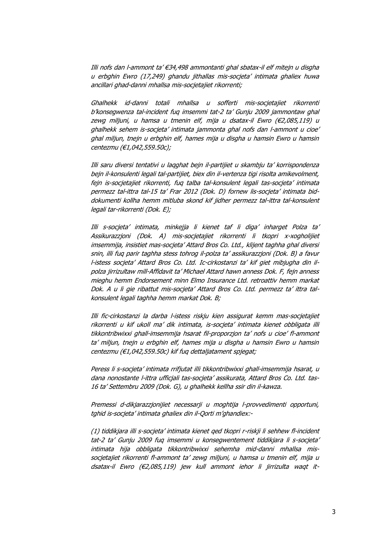Illi nofs dan l-ammont ta' €34,498 ammontanti ghal sbatax-il elf mitejn u disgha u erbghin Ewro (17,249) ghandu jithallas mis-socjeta' intimata ghaliex huwa ancillari ghad-danni mhallsa mis-socjetajiet rikorrenti;

Ghalhekk id-danni totali mhallsa u sofferti mis-socjetajiet rikorrenti b'konsegwenza tal-incident fuq imsemmi tat-2 ta' Gunju 2009 jammontaw ghal zewg miljuni, u hamsa u tmenin elf, mija u dsatax-il Ewro (€2,085,119) u ghalhekk sehem is-socjeta' intimata jammonta ghal nofs dan l-ammont u cioe' ghal miljun, tnejn u erbghin elf, hames mija u disgha u hamsin Ewro u hamsin centezmu (€1,042,559.50c);

Illi saru diversi tentativi u laqghat bejn il-partijiet u skambju ta' korrispondenza bejn il-konsulenti legali tal-partijiet, biex din il-vertenza tigi risolta amikevolment, fejn is-socjetajiet rikorrenti, fuq talba tal-konsulent legali tas-socjeta' intimata permezz tal-ittra tal-15 ta' Frar 2012 (Dok. D) fornew lis-socjeta' intimata biddokumenti kollha hemm mitluba skond kif jidher permezz tal-ittra tal-konsulent legali tar-rikorrenti (Dok. E);

Illi s-socjeta' intimata, minkejja li kienet taf li diga' inharget Polza ta' Assikurazzjoni (Dok. A) mis-socjetajiet rikorrenti li tkopri x-xogholijiet imsemmija, insistiet mas-socjeta' Attard Bros Co. Ltd., klijent taghha ghal diversi snin, illi fuq parir taghha stess tohrog il-polza ta' assikurazzjoni (Dok. B) a favur l-istess socjeta' Attard Bros Co. Ltd. Ic-cirkostanzi ta' kif giet mibjugha din ilpolza jirrizultaw mill-Affidavit ta' Michael Attard hawn anness Dok. F, fejn anness mieghu hemm Endorsement minn Elmo Insurance Ltd. retroattiv hemm markat Dok. A u li gie ribattut mis-socjeta' Attard Bros Co. Ltd. permezz ta' ittra talkonsulent legali taghha hemm markat Dok. B;

Illi fic-cirkostanzi la darba l-istess riskju kien assigurat kemm mas-socjetajiet rikorrenti u kif ukoll ma' dik intimata, is-socjeta' intimata kienet obbligata illi tikkontribwixxi ghall-imsemmija hsarat fil-proporzjon ta' nofs u cioe' fl-ammont ta' miljun, tnejn u erbghin elf, hames mija u disgha u hamsin Ewro u hamsin centezmu (€1,042,559.50c) kif fuq dettaljatament spjegat;

Peress li s-socjeta' intimata rrifjutat illi tikkontribwixxi ghall-imsemmija hsarat, u dana nonostante l-ittra ufficjali tas-socjeta' assikurata, Attard Bros Co. Ltd. tas-16 ta' Settembru 2009 (Dok. G), u ghalhekk kellha ssir din il-kawza.

Premessi d-dikjarazzjonijiet necessarji u moghtija l-provvedimenti opportuni, tghid is-socjeta' intimata ghaliex din il-Qorti m'ghandiex:-

(1) tiddikjara illi s-socjeta' intimata kienet qed tkopri r-riskji li sehhew fl-incident tat-2 ta' Gunju 2009 fuq imsemmi u konsegwentement tiddikjara li s-socjeta' intimata hija obbligata tikkontribwixxi sehemha mid-danni mhallsa missocjetajiet rikorrenti fl-ammont ta' zewg miljuni, u hamsa u tmenin elf, mija u dsatax-il Ewro (€2,085,119) jew kull ammont iehor li jirrizulta waqt it-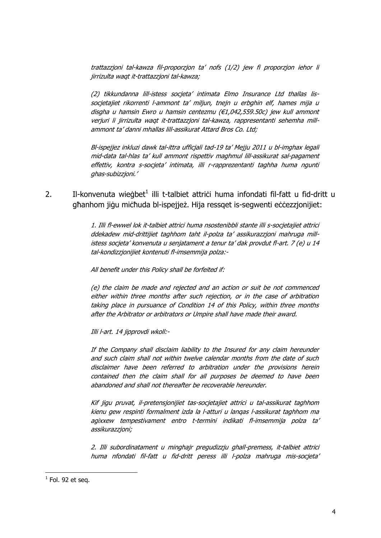trattazzjoni tal-kawza fil-proporzjon ta' nofs (1/2) jew fi proporzjon iehor li jirrizulta waqt it-trattazzjoni tal-kawza;

(2) tikkundanna lill-istess socjeta' intimata Elmo Insurance Ltd thallas lissocjetajiet rikorrenti l-ammont ta' miljun, tnejn u erbghin elf, hames mija u disgha u hamsin Ewro u hamsin centezmu (€1,042,559.50c) jew kull ammont verjuri li jirrizulta waqt it-trattazzjoni tal-kawza, rappresentanti sehemha millammont ta' danni mhallas lill-assikurat Attard Bros Co. Ltd;

Bl-ispejjez inkluzi dawk tal-ittra ufficjali tad-19 ta' Mejju 2011 u bl-imghax legali mid-data tal-hlas ta' kull ammont rispettiv maghmul lill-assikurat sal-pagament effettiv, kontra s-socjeta' intimata, illi r-rapprezentanti taghha huma ngunti ghas-subizzjoni.'

2. Il-konvenuta wieġbet<sup>1</sup> illi t-talbiet attriċi huma infondati fil-fatt u fid-dritt u għanhom jiġu miċħuda bl-ispejjeż. Hija ressqet is-segwenti eċċezzjonijiet:

> 1. Illi fl-ewwel lok it-talbiet attrici huma nsostenibbli stante illi s-socjetajiet attrici ddekadew mid-drittijiet taghhom taht il-polza ta' assikurazzjoni mahruga millistess socjeta' konvenuta u senjatament a tenur ta' dak provdut fl-art. 7 (e) u 14 tal-kondizzjonijiet kontenuti fl-imsemmija polza:-

All benefit under this Policy shall be forfeited if:

(e) the claim be made and rejected and an action or suit be not commenced either within three months after such rejection, or in the case of arbitration taking place in pursuance of Condition 14 of this Policy, within three months after the Arbitrator or arbitrators or Umpire shall have made their award.

Illi l-art. 14 jipprovdi wkoll:-

If the Company shall disclaim liability to the Insured for any claim hereunder and such claim shall not within twelve calendar months from the date of such disclaimer have been referred to arbitration under the provisions herein contained then the claim shall for all purposes be deemed to have been abandoned and shall not thereafter be recoverable hereunder.

Kif jigu pruvat, il-pretensjonijiet tas-socjetajiet attrici u tal-assikurat taghhom kienu gew respinti formalment izda la l-atturi u lanqas l-assikurat taghhom ma agixxew tempestivament entro t-termini indikati fl-imsemmija polza ta' assikurazzjoni;

2. Illi subordinatament u minghajr pregudizzju ghall-premess, it-talbiet attrici huma nfondati fil-fatt u fid-dritt peress illi l-polza mahruga mis-socjeta'

l

 $^1$  Fol. 92 et seq.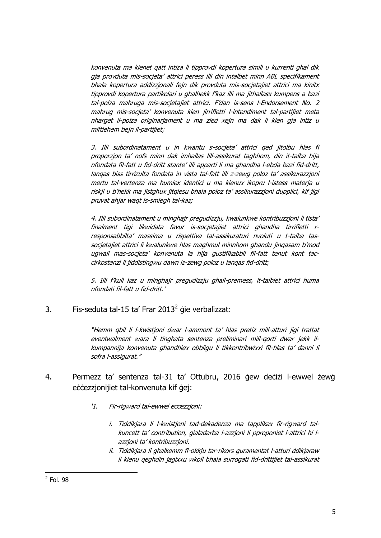konvenuta ma kienet qatt intiza li tipprovdi kopertura simili u kurrenti ghal dik gja provduta mis-socjeta' attrici peress illi din intalbet minn ABL specifikament bhala kopertura addizzjonali fejn dik provduta mis-socjetajiet attrici ma kinitx tipprovdi kopertura partikolari u ghalhekk f'kaz illi ma jithallasx kumpens a bazi tal-polza mahruga mis-socjetajiet attrici. F'dan is-sens l-Endorsement No. 2 mahrug mis-socjeta' konvenuta kien jirrifletti l-intendiment tal-partijiet meta nharget il-polza originarjament u ma zied xejn ma dak li kien gja intiz u miftiehem bejn il-partijiet;

3. Illi subordinatament u in kwantu s-socjeta' attrici qed jitolbu hlas fi proporzjon ta' nofs minn dak imhallas lill-assikurat taghhom, din it-talba hija nfondata fil-fatt u fid-dritt stante' illi apparti li ma ghandha l-ebda bazi fid-dritt, lanqas biss tirrizulta fondata in vista tal-fatt illi z-zewg poloz ta' assikurazzjoni mertu tal-vertenza ma humiex identici u ma kienux ikopru l-istess materja u riskji u b'hekk ma jistghux jitqiesu bhala poloz ta' assikurazzjoni dupplici, kif jigi pruvat ahjar waqt is-smiegh tal-kaz;

4. Illi subordinatament u minghajr pregudizzju, kwalunkwe kontribuzzjoni li tista' finalment tigi likwidata favur is-socjetajiet attrici ghandha tirrifletti rresponsabbilta' massima u rispettiva tal-assikuraturi nvoluti u t-talba tassocjetajiet attrici li kwalunkwe hlas maghmul minnhom ghandu jinqasam b'mod ugwali mas-socjeta' konvenuta la hija gustifikabbli fil-fatt tenut kont taccirkostanzi li jiddistingwu dawn iz-zewg poloz u lanqas fid-dritt;

5. Illi f'kull kaz u minghajr pregudizzju ghall-premess, it-talbiet attrici huma nfondati fil-fatt u fid-dritt.'

3. Fis-seduta tal-15 ta' Frar 2013 $^2$  gie verbalizzat:

"Hemm qbil li l-kwistjoni dwar l-ammont ta' hlas pretiz mill-atturi jigi trattat eventwalment wara li tinghata sentenza preliminari mill-qorti dwar jekk ilkumpannija konvenuta ghandhiex obbligu li tikkontribwixxi fil-hlas ta' danni li sofra l-assigurat."

- 4. Permezz ta' sentenza tal-31 ta' Ottubru, 2016 ġew deċiżi l-ewwel żewġ eċċezzjonijiet tal-konvenuta kif ġej:
	- '1. Fir-rigward tal-ewwel eccezzjoni:
		- i. Tiddikjara li l-kwistjoni tad-dekadenza ma tapplikax fir-rigward talkuncett ta' contribution, gialadarba l-azzjoni li pproponiet l-attrici hi lazzjoni ta' kontribuzzjoni.
		- ii. Tiddikjara li ghalkemm fl-okkju tar-rikors guramentat l-atturi ddikjaraw li kienu qeghdin jagixxu wkoll bhala surrogati fid-drittijiet tal-assikurat

l

 $<sup>2</sup>$  Fol. 98</sup>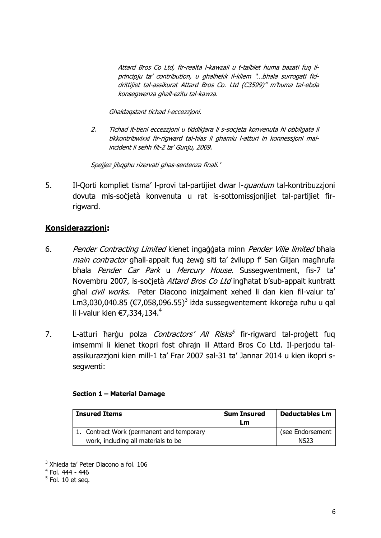Attard Bros Co Ltd, fir-realta l-kawzali u t-talbiet huma bazati fuq ilprincipju ta' contribution, u ghalhekk il-kliem "…bhala surrogati fiddrittijiet tal-assikurat Attard Bros Co. Ltd (C3599)" m'huma tal-ebda konsegwenza ghall-ezitu tal-kawza.

Ghaldaqstant tichad l-eccezzjoni.

2. Tichad it-tieni eccezzjoni u tiddikjara li s-socjeta konvenuta hi obbligata li tikkontribwixxi fir-rigward tal-hlas li ghamlu l-atturi in konnessjoni malincident li sehh fit-2 ta' Gunju, 2009.

Spejiez jibaghu rizervati ghas-sentenza finali.'

5. Il-Qorti kompliet tisma' l-provi tal-partijiet dwar l-quantum tal-kontribuzzjoni dovuta mis-soċjetà konvenuta u rat is-sottomissjonijiet tal-partijiet firrigward.

# **Konsiderazzjoni:**

- 6. Pender Contracting Limited kienet ingaġġata minn Pender Ville limited bħala main contractor għall-appalt fug żewġ siti ta' żvilupp f' San Ġiljan magħrufa bħala Pender Car Park u Mercury House. Sussegwentment, fis-7 ta' Novembru 2007, is-socjetà Attard Bros Co Ltd inghatat b'sub-appalt kuntratt ghal *civil works*. Peter Diacono inizjalment xehed li dan kien fil-valur ta' Lm3,030,040.85 ( $\varepsilon$ 7,058,096.55)<sup>3</sup> iżda sussegwentement ikkoreġa ruħu u qal li l-valur kien  $€7,334,134.^4$
- 7. L-atturi ħarġu polza *Contractors' All Risks*<sup>5</sup> fir-rigward tal-proġett fuq imsemmi li kienet tkopri fost oħrajn lil Attard Bros Co Ltd. Il-perjodu talassikurazzjoni kien mill-1 ta' Frar 2007 sal-31 ta' Jannar 2014 u kien ikopri ssegwenti:

### **Section 1 – Material Damage**

| <b>Insured Items</b>                      | <b>Sum Insured</b><br>Lm | <b>Deductables Lm</b> |
|-------------------------------------------|--------------------------|-----------------------|
| 1. Contract Work (permanent and temporary |                          | (see Endorsement      |
| work, including all materials to be       |                          | NS23                  |

<sup>&</sup>lt;sup>3</sup> Xhieda ta' Peter Diacono a fol. 106

 $\overline{\phantom{a}}$ 

<sup>4</sup> Fol. 444 - 446

 $<sup>5</sup>$  Fol. 10 et seq.</sup>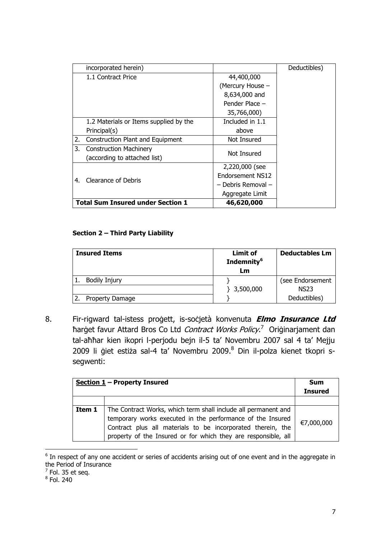|                                          | incorporated herein)                   |                    | Deductibles) |
|------------------------------------------|----------------------------------------|--------------------|--------------|
|                                          | 1.1 Contract Price                     | 44,400,000         |              |
|                                          |                                        | (Mercury House -   |              |
|                                          |                                        | 8,634,000 and      |              |
|                                          |                                        | Pender Place -     |              |
|                                          |                                        | 35,766,000)        |              |
|                                          | 1.2 Materials or Items supplied by the | Included in 1.1    |              |
|                                          | Principal(s)                           | above              |              |
| 2.                                       | Construction Plant and Equipment       | Not Insured        |              |
| 3.                                       | <b>Construction Machinery</b>          | Not Insured        |              |
|                                          | (according to attached list)           |                    |              |
|                                          |                                        | 2,220,000 (see     |              |
| 4.                                       | Clearance of Debris                    | Endorsement NS12   |              |
|                                          |                                        | - Debris Removal - |              |
|                                          |                                        | Aggregate Limit    |              |
| <b>Total Sum Insured under Section 1</b> |                                        | 46,620,000         |              |

### **Section 2 – Third Party Liability**

| <b>Insured Items</b> | <b>Limit of</b><br>Indemnity <sup>6</sup><br>Lm | <b>Deductables Lm</b> |
|----------------------|-------------------------------------------------|-----------------------|
| <b>Bodily Injury</b> |                                                 | (see Endorsement      |
|                      | $\}$ 3,500,000                                  | <b>NS23</b>           |
| Property Damage      |                                                 | Deductibles)          |

8. Fir-rigward tal-istess proġett, is-soċjetà konvenuta **Elmo Insurance Ltd** ħarġet favur Attard Bros Co Ltd *Contract Works Policy*.<sup>7</sup> Oriġinarjament dan tal-aħħar kien ikopri l-perjodu bejn il-5 ta' Novembru 2007 sal 4 ta' Mejju 2009 li ģiet estiża sal-4 ta' Novembru 2009.<sup>8</sup> Din il-polza kienet tkopri ssegwenti:

|        | Section $1$ – Property Insured                                                                                                                                                                                                                                | <b>Sum</b><br><b>Insured</b> |
|--------|---------------------------------------------------------------------------------------------------------------------------------------------------------------------------------------------------------------------------------------------------------------|------------------------------|
|        |                                                                                                                                                                                                                                                               |                              |
| Item 1 | The Contract Works, which term shall include all permanent and<br>temporary works executed in the performance of the Insured<br>Contract plus all materials to be incorporated therein, the<br>property of the Insured or for which they are responsible, all | €7,000,000                   |

**EXECUTE:**<br><sup>6</sup> In respect of any one accident or series of accidents arising out of one event and in the aggregate in the Period of Insurance

 $^7$  Fol. 35 et seq.

 $^8$  Fol. 240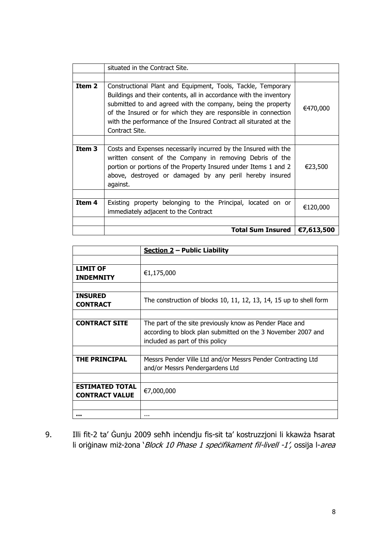|        | situated in the Contract Site.                                                                                                                                                                                                                                                                                                                              |            |
|--------|-------------------------------------------------------------------------------------------------------------------------------------------------------------------------------------------------------------------------------------------------------------------------------------------------------------------------------------------------------------|------------|
|        |                                                                                                                                                                                                                                                                                                                                                             |            |
| Item 2 | Constructional Plant and Equipment, Tools, Tackle, Temporary<br>Buildings and their contents, all in accordance with the inventory<br>submitted to and agreed with the company, being the property<br>of the Insured or for which they are responsible in connection<br>with the performance of the Insured Contract all siturated at the<br>Contract Site. | €470,000   |
|        |                                                                                                                                                                                                                                                                                                                                                             |            |
| Item 3 | Costs and Expenses necessarily incurred by the Insured with the<br>written consent of the Company in removing Debris of the<br>portion or portions of the Property Insured under Items 1 and 2<br>above, destroyed or damaged by any peril hereby insured<br>against.                                                                                       | €23,500    |
|        |                                                                                                                                                                                                                                                                                                                                                             |            |
| Item 4 | Existing property belonging to the Principal, located on or<br>immediately adjacent to the Contract                                                                                                                                                                                                                                                         | €120,000   |
|        |                                                                                                                                                                                                                                                                                                                                                             |            |
|        | <b>Total Sum Insured</b>                                                                                                                                                                                                                                                                                                                                    | €7,613,500 |

|                                                 | Section $2$ – Public Liability                                                                                                                              |
|-------------------------------------------------|-------------------------------------------------------------------------------------------------------------------------------------------------------------|
|                                                 |                                                                                                                                                             |
| <b>LIMIT OF</b><br><b>INDEMNITY</b>             | €1,175,000                                                                                                                                                  |
|                                                 |                                                                                                                                                             |
| <b>INSURED</b><br><b>CONTRACT</b>               | The construction of blocks 10, 11, 12, 13, 14, 15 up to shell form                                                                                          |
|                                                 |                                                                                                                                                             |
| <b>CONTRACT SITE</b>                            | The part of the site previously know as Pender Place and<br>according to block plan submitted on the 3 November 2007 and<br>included as part of this policy |
|                                                 |                                                                                                                                                             |
| <b>THE PRINCIPAL</b>                            | Messrs Pender Ville Ltd and/or Messrs Pender Contracting Ltd<br>and/or Messrs Pendergardens Ltd                                                             |
|                                                 |                                                                                                                                                             |
| <b>ESTIMATED TOTAL</b><br><b>CONTRACT VALUE</b> | €7,000,000                                                                                                                                                  |
|                                                 |                                                                                                                                                             |
|                                                 |                                                                                                                                                             |

9. Illi fit-2 ta' Ġunju 2009 seħħ inċendju fis-sit ta' kostruzzjoni li kkawża ħsarat li oriġinaw miż-żona 'Block 10 Phase 1 speċifikament fil-livell -1', ossija l-area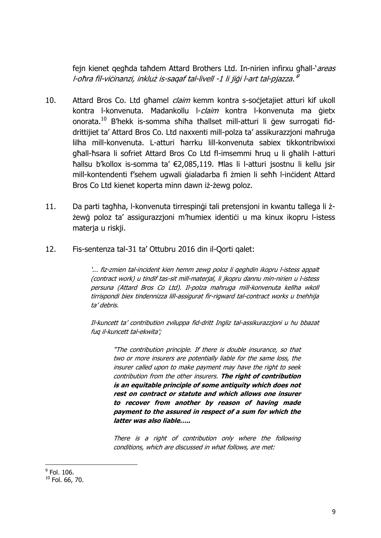fejn kienet gegħda taħdem Attard Brothers Ltd. In-nirien infirxu għall-'areas l-oħra fil-viċinanzi, inkluż is-saqaf tal-livell -1 li jiġi l-art tal-pjazza. <sup>9</sup>

- 10. Attard Bros Co. Ltd għamel claim kemm kontra s-soċjetajiet atturi kif ukoll kontra l-konvenuta. Madankollu l-claim kontra l-konvenuta ma gietx onorata. <sup>10</sup> B'hekk is-somma sħiħa tħallset mill-atturi li ġew surrogati fiddrittijiet ta' Attard Bros Co. Ltd naxxenti mill-polza ta' assikurazzjoni maħruġa lilha mill-konvenuta. L-atturi ħarrku lill-konvenuta sabiex tikkontribwixxi għall-ħsara li sofriet Attard Bros Co Ltd fl-imsemmi ħruq u li għalih l-atturi ħallsu b'kollox is-somma ta' €2,085,119. Ħlas li l-atturi jsostnu li kellu jsir mill-kontendenti f'sehem ugwali ġialadarba fi żmien li seħħ l-inċident Attard Bros Co Ltd kienet koperta minn dawn iż-żewg poloz.
- 11. Da parti tagħha, l-konvenuta tirrespinġi tali pretensjoni in kwantu tallega li żżewġ poloz ta' assigurazzjoni m'humiex identići u ma kinux ikopru l-istess materja u riskji.
- 12. Fis-sentenza tal-31 ta' Ottubru 2016 din il-Qorti qalet:

'... fiz-zmien tal-incident kien hemm zewg poloz li qeghdin ikopru l-istess appalt (contract work) u tindif tas-sit mill-materjal, li jkopru dannu min-nirien u l-istess persuna (Attard Bros Co Ltd). Il-polza mahruga mill-konvenuta kellha wkoll tirrispondi biex tindennizza lill-assigurat fir-rigward tal-contract works u tnehhija ta' debris.

Il-kuncett ta' contribution zviluppa fid-dritt Ingliz tal-assikurazzjoni u hu bbazat fuq il-kuncett tal-ekwita';

"The contribution principle. If there is double insurance, so that two or more insurers are potentially liable for the same loss, the insurer called upon to make payment may have the right to seek contribution from the other insurers. **The right of contribution is an equitable principle of some antiquity which does not rest on contract or statute and which allows one insurer to recover from another by reason of having made payment to the assured in respect of a sum for which the latter was also liable…..**

There is a right of contribution only where the following conditions, which are discussed in what follows, are met:

 $\overline{a}$ 

 $^9$  Fol. 106.

 $10$  Fol. 66, 70.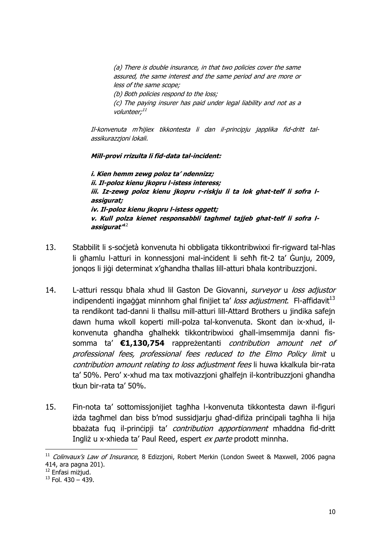(a) There is double insurance, in that two policies cover the same assured, the same interest and the same period and are more or less of the same scope; (b) Both policies respond to the loss;

(c) The paying insurer has paid under legal liability and not as a volunteer;<sup>11</sup>

Il-konvenuta m'hijiex tikkontesta li dan il-principju japplika fid-dritt talassikurazzjoni lokali.

**Mill-provi rrizulta li fid-data tal-incident:**

**i. Kien hemm zewg poloz ta' ndennizz; ii. Il-poloz kienu jkopru l-istess interess; iii. Iz-zewg poloz kienu jkopru r-riskju li ta lok ghat-telf li sofra lassigurat; iv. Il-poloz kienu jkopru l-istess oggett; v. Kull polza kienet responsabbli taghmel tajjeb ghat-telf li sofra lassigurat"** 12

- 13. Stabbilit li s-soċjetà konvenuta hi obbligata tikkontribwixxi fir-rigward tal-ħlas li għamlu l-atturi in konnessjoni mal-inċident li seħħ fit-2 ta' Ġunju, 2009, jonqos li jiġi determinat x'għandha tħallas lill-atturi bħala kontribuzzjoni.
- 14. L-atturi ressqu bħala xhud lil Gaston De Giovanni, surveyor u loss adjustor indipendenti ingaġġat minnhom għal finijiet ta' loss adjustment. Fl-affidavit<sup>13</sup> ta rendikont tad-danni li tħallsu mill-atturi lill-Attard Brothers u jindika safejn dawn huma wkoll koperti mill-polza tal-konvenuta. Skont dan ix-xhud, ilkonvenuta għandha għalhekk tikkontribwixxi għall-imsemmija danni fissomma ta' **€1,130,754** rappreżentanti contribution amount net of professional fees, professional fees reduced to the Elmo Policy limit u contribution amount relating to loss adjustment fees li huwa kkalkula bir-rata ta' 50%. Pero' x-xhud ma tax motivazzjoni għalfejn il-kontribuzzjoni għandha tkun bir-rata ta' 50%.
- 15. Fin-nota ta' sottomissjonijiet tagħha l-konvenuta tikkontesta dawn il-figuri iżda tagħmel dan biss b'mod sussidjarju għad-difiża prinċipali tagħha li hija bbażata fuq il-principji ta' *contribution apportionment* mħaddna fid-dritt Ingliż u x-xhieda ta' Paul Reed, espert ex parte prodott minnha.

 $\overline{\phantom{a}}$ 

<sup>&</sup>lt;sup>11</sup> Colinvaux's Law of Insurance, 8 Edizzjoni, Robert Merkin (London Sweet & Maxwell, 2006 pagna 414, ara pagna 201).

<sup>12</sup> Enfasi miżjud.

 $13$  Fol. 430 – 439.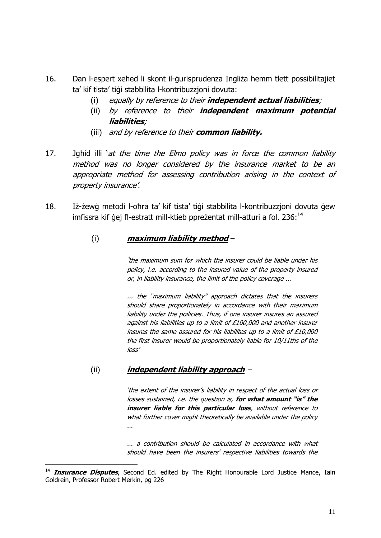- 16. Dan l-espert xehed li skont il-ġurisprudenza Ingliża hemm tlett possibilitajiet ta' kif tista' tiġi stabbilita l-kontribuzzjoni dovuta:
	- (i) equally by reference to their **independent actual liabilities**;
	- (ii) by reference to their **independent maximum potential liabilities**;
	- (iii) and by reference to their **common liability.**
- 17. Jahid illi 'at the time the Elmo policy was in force the common liability method was no longer considered by the insurance market to be an appropriate method for assessing contribution arising in the context of property insurance'.
- 18. Iż-żewġ metodi l-oħra ta' kif tista' tiġi stabbilita l-kontribuzzjoni dovuta ġew imfissra kif ġej fl-estratt mill-ktieb ppreżentat mill-atturi a fol. 236:<sup>14</sup>

# (i) **maximum liability method** –

'the maximum sum for which the insurer could be liable under his policy, i.e. according to the insured value of the property insured or, in liability insurance, the limit of the policy coverage ...

... the "maximum liability" approach dictates that the insurers should share proportionately in accordance with their maximum liability under the poilicies. Thus, if one insurer insures an assured against his liabilities up to a limit of £100,000 and another insurer insures the same assured for his liabilites up to a limit of £10,000 the first insurer would be proportionately liable for 10/11ths of the loss'

### (ii) **independent liability approach** –

 $\overline{a}$ 

'the extent of the insurer's liability in respect of the actual los<sup>s</sup> or losses sustained, i.e. the question is, **for what amount "is" the insurer liable for this particular loss**, without reference to what further cover might theoretically be available under the policy ...

... a contribution should be calculated in accordance with what should have been the insurers' respective liabilities towards the

<sup>14</sup> **Insurance Disputes**, Second Ed. edited by The Right Honourable Lord Justice Mance, Iain Goldrein, Professor Robert Merkin, pg 226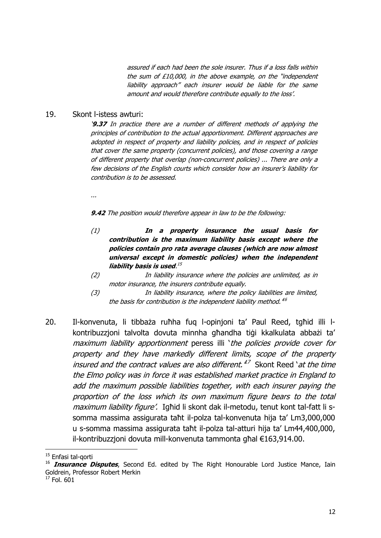assured if each had been the sole insurer. Thus if a loss falls within the sum of £10,000, in the above example, on the "independent liability approach" each insurer would be liable for the same amount and would therefore contribute equally to the loss'.

#### 19. Skont l-istess awturi:

'**9.37** In practice there are a number of different methods of applying the principles of contribution to the actual apportionment. Different approaches are adopted in respect of property and liability policies, and in respect of policies that cover the same property (concurrent policies), and those covering a range of different property that overlap (non-concurrent policies) ... There are only a few decisions of the English courts which consider how an insurer's liability for contribution is to be assessed.

...

**9.42** The position would therefore appear in law to be the following:

- (1) **In a property insurance the usual basis for contribution is the maximum liability basis except where the policies contain pro rata average clauses (which are now almost universal except in domestic policies) when the independent liability basis is used**. 15
- (2) In liability insurance where the policies are unlimited, as in motor insurance, the insurers contribute equally.
- (3) In liability insurance, where the policy liabilities are limited, the basis for contribution is the independent liability method.<sup>46</sup>
- 20. Il-konvenuta, li tibbaża ruħha fuq l-opinjoni ta' Paul Reed, tgħid illi lkontribuzzjoni talvolta dovuta minnha għandha tiġi kkalkulata abbażi ta' maximum liability apportionment peress illi 'the policies provide cover for property and they have markedly different limits, scope of the property insured and the contract values are also different.<sup>47</sup> Skont Reed *`at the time* the Elmo policy was in force it was established market practice in England to add the maximum possible liabilities together, with each insurer paying the proportion of the loss which its own maximum figure bears to the total maximum liability figure'. Ighid li skont dak il-metodu, tenut kont tal-fatt li ssomma massima assigurata taħt il-polza tal-konvenuta hija ta' Lm3,000,000 u s-somma massima assigurata taħt il-polza tal-atturi hija ta' Lm44,400,000, il-kontribuzzjoni dovuta mill-konvenuta tammonta għal €163,914.00.

 $\overline{\phantom{a}}$ 

<sup>&</sup>lt;sup>15</sup> Enfasi tal-qorti

<sup>&</sup>lt;sup>16</sup> **Insurance Disputes**, Second Ed. edited by The Right Honourable Lord Justice Mance, Iain Goldrein, Professor Robert Merkin

 $17$  Fol. 601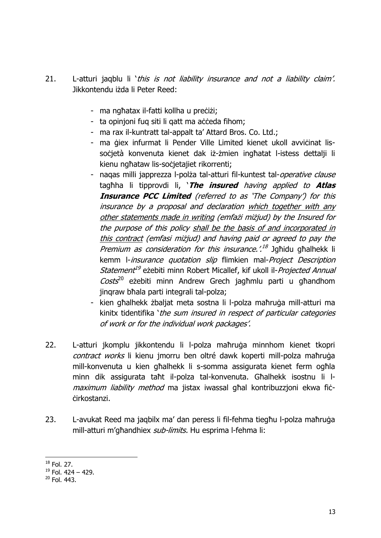- 21. L-atturi jagblu li 'this is not liability insurance and not a liability claim'. Jikkontendu iżda li Peter Reed:
	- ma ngħatax il-fatti kollha u preċiżi;
	- ta opinjoni fuq siti li qatt ma aċċeda fihom;
	- ma rax il-kuntratt tal-appalt ta' Attard Bros. Co. Ltd.;
	- ma ģiex infurmat li Pender Ville Limited kienet ukoll avvičinat lissocietà konvenuta kienet dak iż-żmien ingħatat l-istess dettalji li kienu ngħataw lis-soċjetajiet rikorrenti;
	- nagas milli japprezza l-polża tal-atturi fil-kuntest tal-operative clause tagħha li tipprovdi li, '**The insured** having applied to **Atlas Insurance PCC Limited** (referred to as 'The Company') for this insurance by a proposal and declaration which together with any other statements made in writing (emfażi miżjud) by the Insured for the purpose of this policy shall be the basis of and incorporated in this contract (emfasi miżjud) and having paid or agreed to pay the *Premium as consideration for this insurance.'.<sup>18</sup> Jgħidu għalhekk li* kemm I-insurance quotation slip flimkien mal-Project Description Statement<sup>19</sup> eżebiti minn Robert Micallef, kif ukoll il-*Projected Annual* Costs<sup>20</sup> eżebiti minn Andrew Grech jagħmlu parti u għandhom jinqraw bħala parti integrali tal-polza;
	- kien għalhekk żbaljat meta sostna li l-polza maħruġa mill-atturi ma kinitx tidentifika 'the sum insured in respect of particular categories of work or for the individual work packages'.
- 22. L-atturi jkomplu jikkontendu li l-polza maħruġa minnhom kienet tkopri contract works li kienu jmorru ben oltré dawk koperti mill-polza maħruġa mill-konvenuta u kien għalhekk li s-somma assigurata kienet ferm ogħla minn dik assigurata taħt il-polza tal-konvenuta. Għalhekk isostnu li lmaximum liability method ma jistax iwassal ghal kontribuzzjoni ekwa ficċirkostanzi.
- 23. L-avukat Reed ma jaqbilx ma' dan peress li fil-fehma tiegħu l-polza maħruġa mill-atturi m'għandhiex sub-limits. Hu esprima l-fehma li:

 $\overline{\phantom{a}}$ <sup>18</sup> Fol. 27.

 $19$  Fol. 424 – 429.

 $20$  Fol. 443.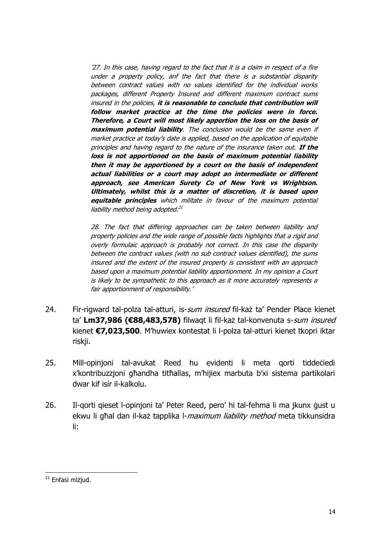'27. In this case, having regard to the fact that it is a claim in respect of a fire under a property policy, anf the fact that there is a substantial disparity between contract values with no values identified for the individual works packages, different Property Insured and different maximum contract sums insured in the policies, **it is reasonable to conclude that contribution will follow market practice at the time the policies were in force. Therefore, a Court will most likely apportion the loss on the basis of maximum potential liability**. The conclusion would be the same even if market practice at today's date is applied, based on the application of equitable principles and having regard to the nature of the insurance taken out. **If the loss is not apportioned on the basis of maximum potential liability then it may be apportioned by a court on the basis of independent actual liabilities or a court may adopt an intermediate or different approach, see American Surety Co of New York vs Wrightson. Ultimately, whilst this is a matter of discretion, it is based upon equitable principles** which militate in favour of the maximum potential liability method being adopted.<sup>21</sup>

28. The fact that differing approaches can be taken between liability and property policies and the wide range of possible facts highlights that a rigid and overly formulaic approach is probably not correct. In this case the disparity between the contract values (with no sub contract values identified), the sums insured and the extent of the insured property is consistent with an approach based upon a maximum potential liability apportionment. In my opinion a Court is likely to be sympathetic to this approach as it more accurately represents a fair apportionment of responsibility.'

- 24. Fir-rigward tal-polza tal-atturi, is-sum insured fil-każ ta' Pender Place kienet ta' **Lm37,986 (€88,483,578)** filwaqt li fil-każ tal-konvenuta s-sum insured kienet **€7,023,500**. M'huwiex kontestat li l-polza tal-atturi kienet tkopri iktar riskji.
- 25. Mill-opinjoni tal-avukat Reed hu evidenti li meta gorti tiddećiedi x'kontribuzzjoni għandha titħallas, m'hijiex marbuta b'xi sistema partikolari dwar kif isir il-kalkolu.
- 26. Il-qorti qieset l-opinjoni ta' Peter Reed, pero' hi tal-fehma li ma jkunx ġust u ekwu li għal dan il-każ tapplika l-*maximum liability method* meta tikkunsidra li:

l <sup>21</sup> Enfasi miżjud.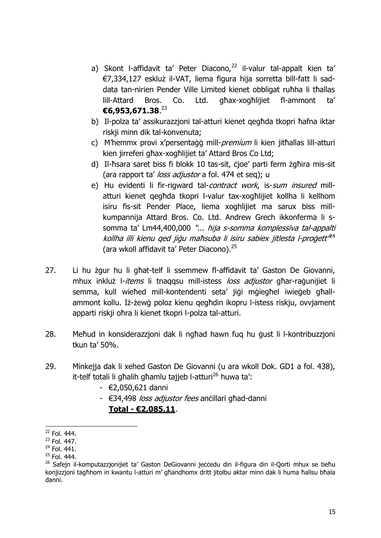- a) Skont I-affidavit ta' Peter Diacono, $22$  il-valur tal-appalt kien ta' €7,334,127 eskluż il-VAT, liema figura hija sorretta bill-fatt li saddata tan-nirien Pender Ville Limited kienet obbligat ruħha li tħallas lill-Attard Bros. Co. Ltd. għax-xogħlijiet fl-ammont ta' **€6,953,671.38**. 23
- b) Il-polza ta' assikurazzjoni tal-atturi kienet qegħda tkopri ħafna iktar riskji minn dik tal-konvenuta;
- c) M'hemmx provi x'persentaġġ mill-*premium* li kien jitħallas lill-atturi kien jirreferi għax-xogħlijiet ta' Attard Bros Co Ltd;
- d) Il-ħsara saret biss fi blokk 10 tas-sit, ċjoe' parti ferm żgħira mis-sit (ara rapport ta' loss adjustor a fol. 474 et seq); u
- e) Hu evidenti li fir-rigward tal-contract work, is-sum insured millatturi kienet qegħda tkopri l-valur tax-xogħlijiet kollha li kellhom isiru fis-sit Pender Place, liema xoghlijiet ma sarux biss millkumpannija Attard Bros. Co. Ltd. Andrew Grech ikkonferma li ssomma ta' Lm44,400,000 "... hija s-somma komplessiva tal-appalti kollha illi kienu qed jiġu maħsuba li isiru sabiex jitlesta l-proġett'<sup>24</sup> (ara wkoll affidavit ta' Peter Diacono).<sup>25</sup>
- 27. Li hu żgur hu li għat-telf li ssemmew fl-affidavit ta' Gaston De Giovanni, mhux inkluż l-*items* li tnaggsu mill-istess *loss adjustor* għar-raġunijiet li semma, kull wieħed mill-kontendenti seta' jiġi mġiegħel iwieġeb għallammont kollu. Iż-żewġ poloz kienu qegħdin ikopru l-istess riskju, ovvjament apparti riskji oħra li kienet tkopri l-polza tal-atturi.
- 28. Meħud in konsiderazzjoni dak li ngħad hawn fuq hu ġust li l-kontribuzzjoni tkun ta' 50%.
- 29. Minkejja dak li xehed Gaston De Giovanni (u ara wkoll Dok. GD1 a fol. 438), it-telf totali li għalih għamlu tajjeb l-atturi<sup>26</sup> huwa ta':
	- €2,050,621 danni
	- €34,498 loss adjustor fees anċillari għad-danni **Total - €2,085,11**.

 $\overline{a}$  $22$  Fol. 444.

<sup>23</sup> Fol. 447.

<sup>24</sup> Fol. 441.

 $25$  Fol. 444.

<sup>&</sup>lt;sup>26</sup> Safejn il-komputazzjonijiet ta' Gaston DeGiovanni jeċċedu din il-figura din il-Qorti mhux se tieħu konjizzjoni tagħhom in kwantu l-atturi m' għandhomx dritt jitolbu aktar minn dak li huma ħallsu bħala danni.